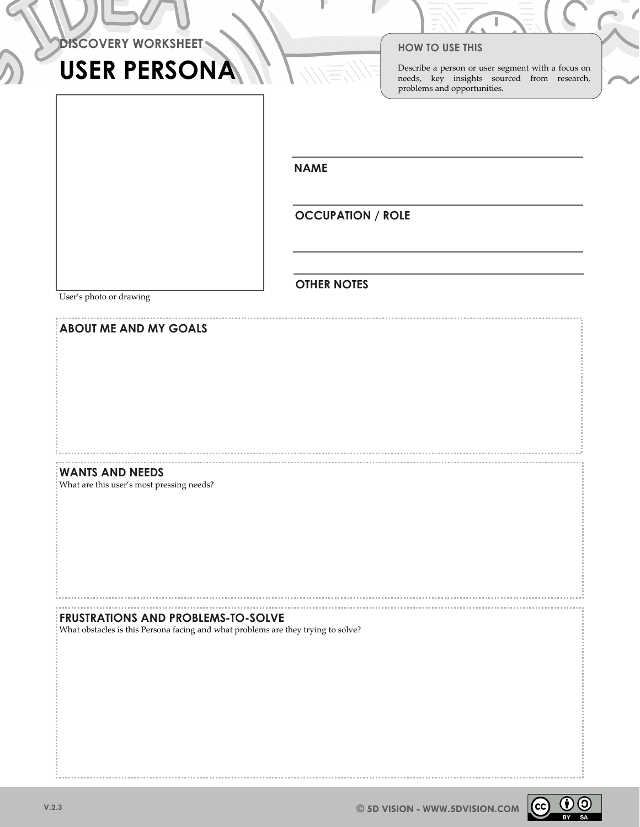|  | <b>DISCOVERY WORKSHEET</b> |
|--|----------------------------|
|--|----------------------------|

# USER PERSONA

### HOW TO USE THIS

Describe a person or user segment with a focus on needs, key insights sourced from research, problems and opportunities.

NAME

OCCUPATION / ROLE

OTHER NOTES

User's photo or drawing

| <b>ABOUT ME AND MY GOALS</b>                                                      |  |
|-----------------------------------------------------------------------------------|--|
|                                                                                   |  |
|                                                                                   |  |
|                                                                                   |  |
|                                                                                   |  |
|                                                                                   |  |
|                                                                                   |  |
|                                                                                   |  |
|                                                                                   |  |
|                                                                                   |  |
|                                                                                   |  |
|                                                                                   |  |
|                                                                                   |  |
|                                                                                   |  |
|                                                                                   |  |
|                                                                                   |  |
|                                                                                   |  |
|                                                                                   |  |
|                                                                                   |  |
|                                                                                   |  |
|                                                                                   |  |
| <b>WANTS AND NEEDS</b>                                                            |  |
|                                                                                   |  |
| What are this user's most pressing needs?                                         |  |
|                                                                                   |  |
|                                                                                   |  |
|                                                                                   |  |
|                                                                                   |  |
|                                                                                   |  |
|                                                                                   |  |
|                                                                                   |  |
|                                                                                   |  |
|                                                                                   |  |
|                                                                                   |  |
|                                                                                   |  |
|                                                                                   |  |
|                                                                                   |  |
|                                                                                   |  |
|                                                                                   |  |
|                                                                                   |  |
|                                                                                   |  |
|                                                                                   |  |
|                                                                                   |  |
| <b>FRUSTRATIONS AND PROBLEMS-TO-SOLVE</b>                                         |  |
| What obstacles is this Persona facing and what problems are they trying to solve? |  |
|                                                                                   |  |
|                                                                                   |  |
|                                                                                   |  |
|                                                                                   |  |
|                                                                                   |  |
|                                                                                   |  |
|                                                                                   |  |
|                                                                                   |  |
|                                                                                   |  |
|                                                                                   |  |
|                                                                                   |  |
|                                                                                   |  |
|                                                                                   |  |
|                                                                                   |  |
|                                                                                   |  |
|                                                                                   |  |
|                                                                                   |  |
|                                                                                   |  |
|                                                                                   |  |
|                                                                                   |  |
|                                                                                   |  |
|                                                                                   |  |
|                                                                                   |  |
|                                                                                   |  |

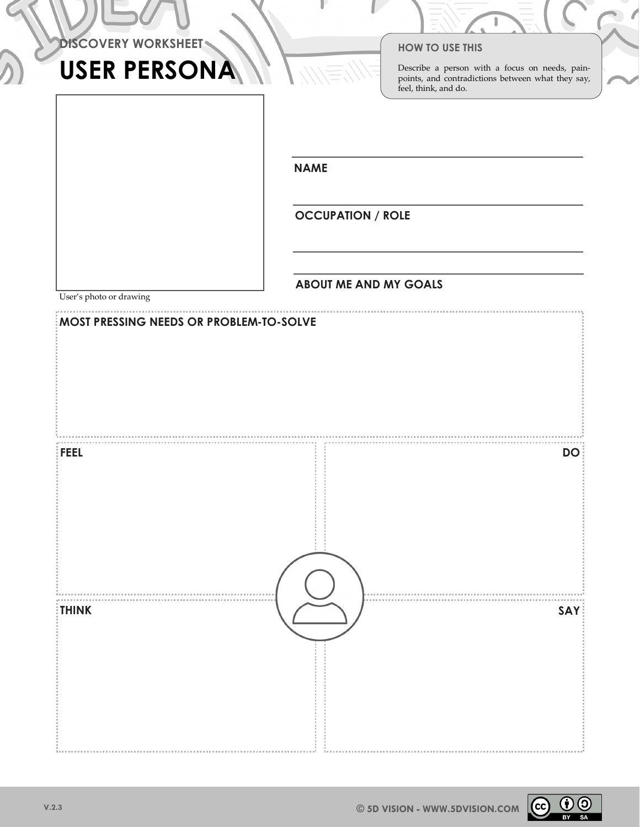| <b>DISCOVERY WORKSHEET</b> |
|----------------------------|
|----------------------------|

# USER PERSONA

### HOW TO USE THIS

Describe a person with a focus on needs, painpoints, and contradictions between what they say, feel, think, and do.

NAME

OCCUPATION / ROLE

## ABOUT ME AND MY GOALS

User's photo or drawing